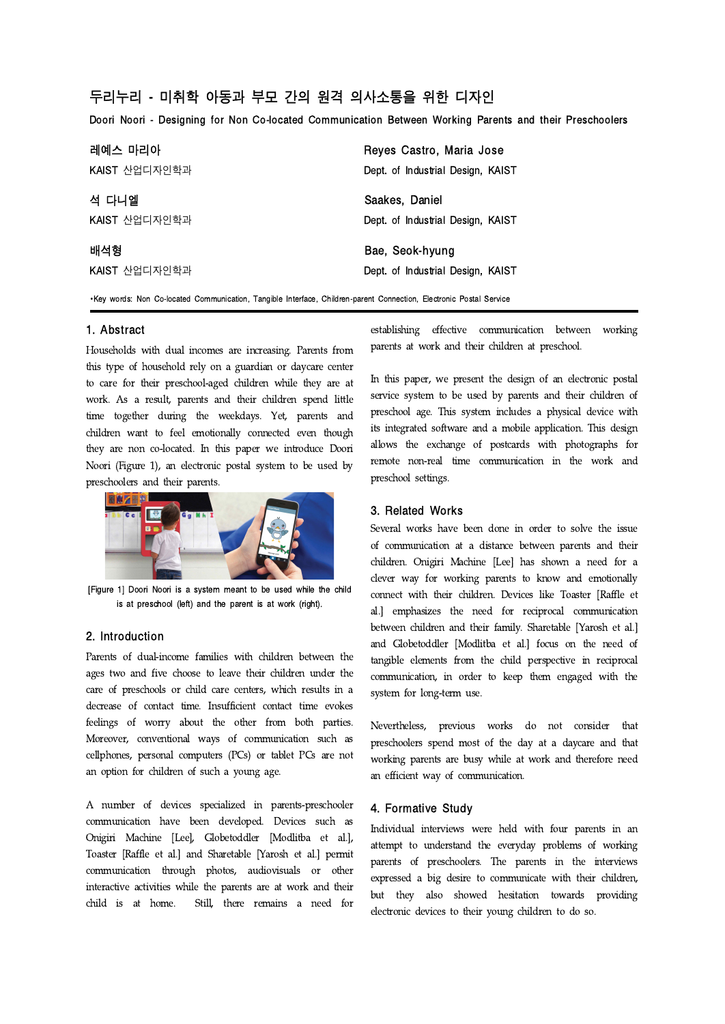# 두리누리 - 미취학 아동과 부모 간의 원격 의사소통을 위한 디자인

Doori Noori - Designing for Non Co-located Communication Between Working Parents and their Preschoolers

| 레예스 마리아       | Reyes Castro, Maria Jose          |
|---------------|-----------------------------------|
| KAIST 산업디자인학과 | Dept. of Industrial Design, KAIST |
| 석 다니엘         | Saakes, Daniel                    |
| KAIST 산업디자인학과 | Dept. of Industrial Design, KAIST |
| 배석형           | Bae, Seok-hyung                   |
| KAIST 산업디자인학과 | Dept. of Industrial Design, KAIST |

∙Key words: Non Co-located Communication, Tangible Interface, Children-parent Connection, Electronic Postal Service

#### 1. Abstract

Households with dual incomes are increasing. Parents from this type of household rely on a guardian or daycare center to care for their preschool-aged children while they are at work. As a result, parents and their children spend little time together during the weekdays. Yet, parents and children want to feel emotionally connected even though they are non co-located. In this paper we introduce Doori Noori (Figure 1), an electronic postal system to be used by preschoolers and their parents.



[Figure 1] Doori Noori is a system meant to be used while the child is at preschool (left) and the parent is at work (right).

## 2. Introduction

Parents of dual-income families with children between the ages two and five choose to leave their children under the care of preschools or child care centers, which results in a decrease of contact time. Insufficient contact time evokes feelings of worry about the other from both parties. Moreover, conventional ways of communication such as cellphones, personal computers (PCs) or tablet PCs are not an option for children of such a young age.

A number of devices specialized in parents-preschooler communication have been developed. Devices such as Onigiri Machine [Lee], Globetoddler [Modlitba et al.], Toaster [Raffle et al.] and Sharetable [Yarosh et al.] permit communication through photos, audiovisuals or other interactive activities while the parents are at work and their child is at home. Still, there remains a need for establishing effective communication between working parents at work and their children at preschool.

In this paper, we present the design of an electronic postal service system to be used by parents and their children of preschool age. This system includes a physical device with its integrated software and a mobile application. This design allows the exchange of postcards with photographs for remote non-real time communication in the work and preschool settings.

### 3. Related Works

Several works have been done in order to solve the issue of communication at a distance between parents and their children. Onigiri Machine [Lee] has shown a need for a clever way for working parents to know and emotionally connect with their children. Devices like Toaster [Raffle et al.] emphasizes the need for reciprocal communication between children and their family. Sharetable [Yarosh et al.] and Globetoddler [Modlitba et al.] focus on the need of tangible elements from the child perspective in reciprocal communication, in order to keep them engaged with the system for long-term use.

Nevertheless, previous works do not consider that preschoolers spend most of the day at a daycare and that working parents are busy while at work and therefore need an efficient way of communication.

### 4. Formative Study

Individual interviews were held with four parents in an attempt to understand the everyday problems of working parents of preschoolers. The parents in the interviews expressed a big desire to communicate with their children, but they also showed hesitation towards providing electronic devices to their young children to do so.